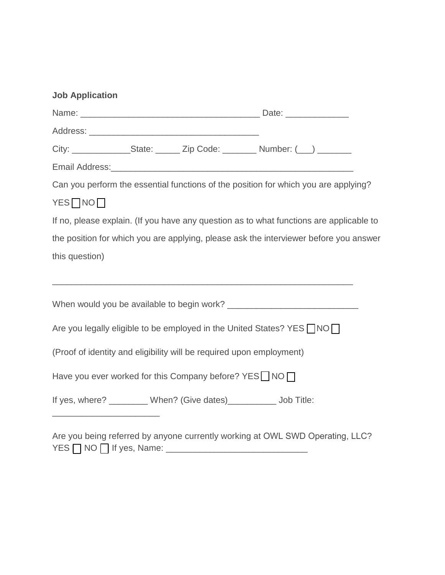| <b>Job Application</b>                                                                  |  |  |                                                                                     |  |
|-----------------------------------------------------------------------------------------|--|--|-------------------------------------------------------------------------------------|--|
|                                                                                         |  |  |                                                                                     |  |
|                                                                                         |  |  |                                                                                     |  |
|                                                                                         |  |  | City: _________________State: _______ Zip Code: _________ Number: (___) ________    |  |
|                                                                                         |  |  |                                                                                     |  |
|                                                                                         |  |  | Can you perform the essential functions of the position for which you are applying? |  |
| YES <sub>NO</sub>                                                                       |  |  |                                                                                     |  |
| If no, please explain. (If you have any question as to what functions are applicable to |  |  |                                                                                     |  |
| the position for which you are applying, please ask the interviewer before you answer   |  |  |                                                                                     |  |
| this question)                                                                          |  |  |                                                                                     |  |
|                                                                                         |  |  |                                                                                     |  |
|                                                                                         |  |  |                                                                                     |  |
| Are you legally eligible to be employed in the United States? YES $\neg$ NO $\neg$      |  |  |                                                                                     |  |
| (Proof of identity and eligibility will be required upon employment)                    |  |  |                                                                                     |  |
| Have you ever worked for this Company before? $YES$ NO $\Box$                           |  |  |                                                                                     |  |
|                                                                                         |  |  | If yes, where? _________ When? (Give dates)___________ Job Title:                   |  |
|                                                                                         |  |  | Are you being referred by anyone currently working at OWL SWD Operating, LLC?       |  |

YES [ ] NO [ ] If yes, Name: \_\_\_\_\_\_\_\_\_\_\_\_\_\_\_\_\_\_\_\_\_\_\_\_\_\_\_\_\_